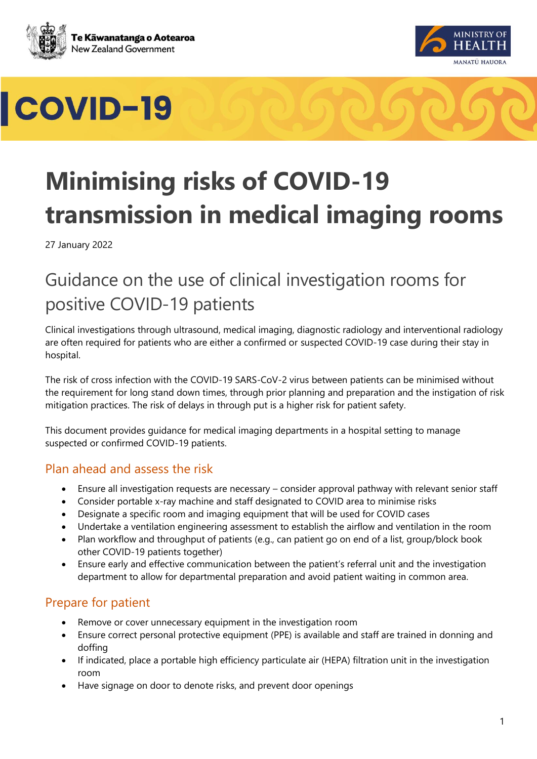



# COVID-19



27 January 2022

# Guidance on the use of clinical investigation rooms for positive COVID-19 patients

Clinical investigations through ultrasound, medical imaging, diagnostic radiology and interventional radiology are often required for patients who are either a confirmed or suspected COVID-19 case during their stay in hospital.

The risk of cross infection with the COVID-19 SARS-CoV-2 virus between patients can be minimised without the requirement for long stand down times, through prior planning and preparation and the instigation of risk mitigation practices. The risk of delays in through put is a higher risk for patient safety.

This document provides guidance for medical imaging departments in a hospital setting to manage suspected or confirmed COVID-19 patients.

#### Plan ahead and assess the risk

- Ensure all investigation requests are necessary consider approval pathway with relevant senior staff
- Consider portable x-ray machine and staff designated to COVID area to minimise risks
- Designate a specific room and imaging equipment that will be used for COVID cases
- Undertake a ventilation engineering assessment to establish the airflow and ventilation in the room
- Plan workflow and throughput of patients (e.g., can patient go on end of a list, group/block book other COVID-19 patients together)
- Ensure early and effective communication between the patient's referral unit and the investigation department to allow for departmental preparation and avoid patient waiting in common area.

#### Prepare for patient

- Remove or cover unnecessary equipment in the investigation room
- Ensure correct personal protective equipment (PPE) is available and staff are trained in donning and doffing
- If indicated, place a portable high efficiency particulate air (HEPA) filtration unit in the investigation room
- Have signage on door to denote risks, and prevent door openings